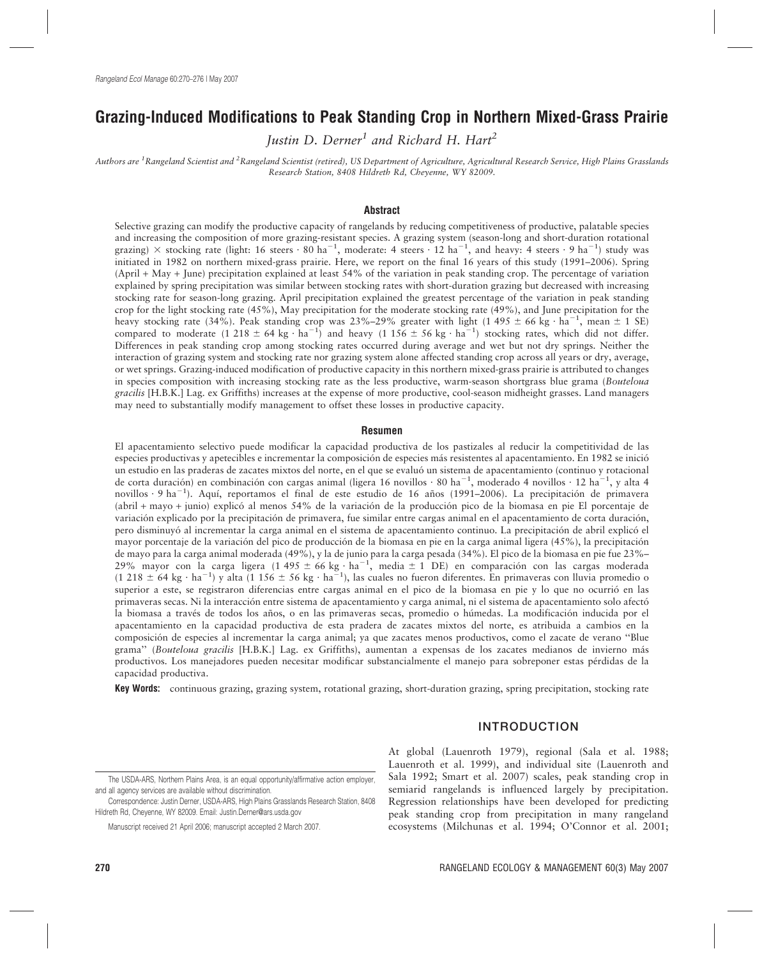# Grazing-Induced Modifications to Peak Standing Crop in Northern Mixed-Grass Prairie

Justin D. Derner<sup>1</sup> and Richard H. Hart<sup>2</sup>

Authors are <sup>1</sup>Rangeland Scientist and <sup>2</sup>Rangeland Scientist (retired), US Department of Agriculture, Agricultural Research Service, High Plains Grasslands Research Station, 8408 Hildreth Rd, Cheyenne, WY 82009.

#### Abstract

Selective grazing can modify the productive capacity of rangelands by reducing competitiveness of productive, palatable species and increasing the composition of more grazing-resistant species. A grazing system (season-long and short-duration rotational grazing)  $\times$  stocking rate (light: 16 steers  $\cdot$  80 ha<sup>-1</sup>, moderate: 4 steers  $\cdot$  12 ha<sup>-1</sup>, and heavy: 4 steers  $\cdot$  9 ha<sup>-1</sup>) study was initiated in 1982 on northern mixed-grass prairie. Here, we report on the final 16 years of this study (1991–2006). Spring (April + May + June) precipitation explained at least 54% of the variation in peak standing crop. The percentage of variation explained by spring precipitation was similar between stocking rates with short-duration grazing but decreased with increasing stocking rate for season-long grazing. April precipitation explained the greatest percentage of the variation in peak standing crop for the light stocking rate (45%), May precipitation for the moderate stocking rate (49%), and June precipitation for the heavy stocking rate (34%). Peak standing crop was 23%–29% greater with light (1 495  $\pm$  66 kg  $\cdot$  ha $^{-1}$ , mean  $\pm$  1 SE) compared to moderate (1 218  $\pm$  64 kg · ha<sup>-1</sup>) and heavy (1 156  $\pm$  56 kg · ha<sup>-1</sup>) stocking rates, which did not differ. Differences in peak standing crop among stocking rates occurred during average and wet but not dry springs. Neither the interaction of grazing system and stocking rate nor grazing system alone affected standing crop across all years or dry, average, or wet springs. Grazing-induced modification of productive capacity in this northern mixed-grass prairie is attributed to changes in species composition with increasing stocking rate as the less productive, warm-season shortgrass blue grama (Bouteloua gracilis [H.B.K.] Lag. ex Griffiths) increases at the expense of more productive, cool-season midheight grasses. Land managers may need to substantially modify management to offset these losses in productive capacity.

#### Resumen

El apacentamiento selectivo puede modificar la capacidad productiva de los pastizales al reducir la competitividad de las especies productivas y apetecibles e incrementar la composición de especies más resistentes al apacentamiento. En 1982 se inició un estudio en las praderas de zacates mixtos del norte, en el que se evaluó un sistema de apacentamiento (continuo y rotacional de corta duración) en combinación con cargas animal (ligera 16 novillos  $\cdot$  80 ha<sup>-1</sup>, moderado 4 novillos  $\cdot$  12 ha<sup>-1</sup>, y alta 4 novillos 9 ha<sup>-1</sup>). Aquí, reportamos el final de este estudio de 16 años (1991–2006). La precipitación de primavera (abril + mayo + junio) explico´ al menos 54% de la variacio´n de la produccio´n pico de la biomasa en pie El porcentaje de variación explicado por la precipitación de primavera, fue similar entre cargas animal en el apacentamiento de corta duración, pero disminuyo´ al incrementar la carga animal en el sistema de apacentamiento continuo. La precipitacio´n de abril explico´ el mayor porcentaje de la variación del pico de producción de la biomasa en pie en la carga animal ligera (45%), la precipitación de mayo para la carga animal moderada (49%), y la de junio para la carga pesada (34%). El pico de la biomasa en pie fue 23%– 29% mayor con la carga ligera (1 495 ± 66 kg  $\cdot$  ha<sup>-1</sup>, media ± 1 DE) en comparación con las cargas moderada (1 218  $\pm$  64 kg  $\cdot$  ha<sup>-1</sup>) y alta (1 156  $\pm$  56 kg  $\cdot$  ha<sup>-1</sup>), las cuales no fueron diferentes. En primaveras con lluvia promedio o superior a este, se registraron diferencias entre cargas animal en el pico de la biomasa en pie y lo que no ocurrió en las primaveras secas. Ni la interacción entre sistema de apacentamiento y carga animal, ni el sistema de apacentamiento solo afectó la biomasa a través de todos los años, o en las primaveras secas, promedio o húmedas. La modificación inducida por el apacentamiento en la capacidad productiva de esta pradera de zacates mixtos del norte, es atribuida a cambios en la composicio´n de especies al incrementar la carga animal; ya que zacates menos productivos, como el zacate de verano ''Blue grama" (Bouteloua gracilis [H.B.K.] Lag. ex Griffiths), aumentan a expensas de los zacates medianos de invierno más productivos. Los manejadores pueden necesitar modificar substancialmente el manejo para sobreponer estas pérdidas de la capacidad productiva.

Key Words: continuous grazing, grazing system, rotational grazing, short-duration grazing, spring precipitation, stocking rate

# INTRODUCTION

At global (Lauenroth 1979), regional (Sala et al. 1988; Lauenroth et al. 1999), and individual site (Lauenroth and Sala 1992; Smart et al. 2007) scales, peak standing crop in semiarid rangelands is influenced largely by precipitation. Regression relationships have been developed for predicting peak standing crop from precipitation in many rangeland ecosystems (Milchunas et al. 1994; O'Connor et al. 2001;

The USDA-ARS, Northern Plains Area, is an equal opportunity/affirmative action employer, and all agency services are available without discrimination.

Correspondence: Justin Derner, USDA-ARS, High Plains Grasslands Research Station, 8408 Hildreth Rd, Cheyenne, WY 82009. Email: Justin.Derner@ars.usda.gov

Manuscript received 21 April 2006; manuscript accepted 2 March 2007.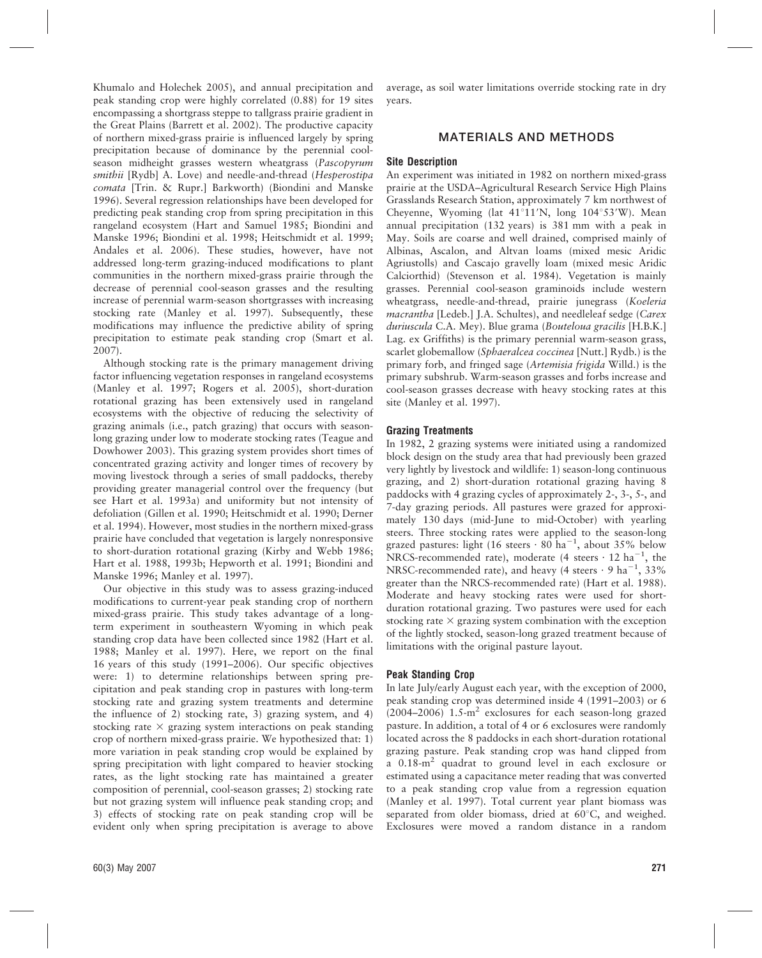Khumalo and Holechek 2005), and annual precipitation and peak standing crop were highly correlated (0.88) for 19 sites encompassing a shortgrass steppe to tallgrass prairie gradient in the Great Plains (Barrett et al. 2002). The productive capacity of northern mixed-grass prairie is influenced largely by spring precipitation because of dominance by the perennial coolseason midheight grasses western wheatgrass (Pascopyrum smithii [Rydb] A. Love) and needle-and-thread (Hesperostipa comata [Trin. & Rupr.] Barkworth) (Biondini and Manske 1996). Several regression relationships have been developed for predicting peak standing crop from spring precipitation in this rangeland ecosystem (Hart and Samuel 1985; Biondini and Manske 1996; Biondini et al. 1998; Heitschmidt et al. 1999; Andales et al. 2006). These studies, however, have not addressed long-term grazing-induced modifications to plant communities in the northern mixed-grass prairie through the decrease of perennial cool-season grasses and the resulting increase of perennial warm-season shortgrasses with increasing stocking rate (Manley et al. 1997). Subsequently, these modifications may influence the predictive ability of spring precipitation to estimate peak standing crop (Smart et al. 2007).

Although stocking rate is the primary management driving factor influencing vegetation responses in rangeland ecosystems (Manley et al. 1997; Rogers et al. 2005), short-duration rotational grazing has been extensively used in rangeland ecosystems with the objective of reducing the selectivity of grazing animals (i.e., patch grazing) that occurs with seasonlong grazing under low to moderate stocking rates (Teague and Dowhower 2003). This grazing system provides short times of concentrated grazing activity and longer times of recovery by moving livestock through a series of small paddocks, thereby providing greater managerial control over the frequency (but see Hart et al. 1993a) and uniformity but not intensity of defoliation (Gillen et al. 1990; Heitschmidt et al. 1990; Derner et al. 1994). However, most studies in the northern mixed-grass prairie have concluded that vegetation is largely nonresponsive to short-duration rotational grazing (Kirby and Webb 1986; Hart et al. 1988, 1993b; Hepworth et al. 1991; Biondini and Manske 1996; Manley et al. 1997).

Our objective in this study was to assess grazing-induced modifications to current-year peak standing crop of northern mixed-grass prairie. This study takes advantage of a longterm experiment in southeastern Wyoming in which peak standing crop data have been collected since 1982 (Hart et al. 1988; Manley et al. 1997). Here, we report on the final 16 years of this study (1991–2006). Our specific objectives were: 1) to determine relationships between spring precipitation and peak standing crop in pastures with long-term stocking rate and grazing system treatments and determine the influence of 2) stocking rate, 3) grazing system, and 4) stocking rate  $\times$  grazing system interactions on peak standing crop of northern mixed-grass prairie. We hypothesized that: 1) more variation in peak standing crop would be explained by spring precipitation with light compared to heavier stocking rates, as the light stocking rate has maintained a greater composition of perennial, cool-season grasses; 2) stocking rate but not grazing system will influence peak standing crop; and 3) effects of stocking rate on peak standing crop will be evident only when spring precipitation is average to above average, as soil water limitations override stocking rate in dry years.

# MATERIALS AND METHODS

### Site Description

An experiment was initiated in 1982 on northern mixed-grass prairie at the USDA–Agricultural Research Service High Plains Grasslands Research Station, approximately 7 km northwest of Cheyenne, Wyoming (lat  $41^{\circ}11'N$ , long  $104^{\circ}53'W$ ). Mean annual precipitation (132 years) is 381 mm with a peak in May. Soils are coarse and well drained, comprised mainly of Albinas, Ascalon, and Altvan loams (mixed mesic Aridic Agriustolls) and Cascajo gravelly loam (mixed mesic Aridic Calciorthid) (Stevenson et al. 1984). Vegetation is mainly grasses. Perennial cool-season graminoids include western wheatgrass, needle-and-thread, prairie junegrass (Koeleria macrantha [Ledeb.] J.A. Schultes), and needleleaf sedge (Carex duriuscula C.A. Mey). Blue grama (Bouteloua gracilis [H.B.K.] Lag. ex Griffiths) is the primary perennial warm-season grass, scarlet globemallow (Sphaeralcea coccinea [Nutt.] Rydb.) is the primary forb, and fringed sage (Artemisia frigida Willd.) is the primary subshrub. Warm-season grasses and forbs increase and cool-season grasses decrease with heavy stocking rates at this site (Manley et al. 1997).

### Grazing Treatments

In 1982, 2 grazing systems were initiated using a randomized block design on the study area that had previously been grazed very lightly by livestock and wildlife: 1) season-long continuous grazing, and 2) short-duration rotational grazing having 8 paddocks with 4 grazing cycles of approximately 2-, 3-, 5-, and 7-day grazing periods. All pastures were grazed for approximately 130 days (mid-June to mid-October) with yearling steers. Three stocking rates were applied to the season-long grazed pastures: light (16 steers  $\cdot$  80 ha<sup>-1</sup>, about 35% below NRCS-recommended rate), moderate (4 steers  $\cdot$  12 ha<sup>-1</sup>, the NRSC-recommended rate), and heavy (4 steers  $\cdot$  9 ha<sup>-1</sup>, 33% greater than the NRCS-recommended rate) (Hart et al. 1988). Moderate and heavy stocking rates were used for shortduration rotational grazing. Two pastures were used for each stocking rate  $\times$  grazing system combination with the exception of the lightly stocked, season-long grazed treatment because of limitations with the original pasture layout.

# Peak Standing Crop

In late July/early August each year, with the exception of 2000, peak standing crop was determined inside 4 (1991–2003) or 6  $(2004–2006)$  1.5-m<sup>2</sup> exclosures for each season-long grazed pasture. In addition, a total of 4 or 6 exclosures were randomly located across the 8 paddocks in each short-duration rotational grazing pasture. Peak standing crop was hand clipped from a 0.18-m2 quadrat to ground level in each exclosure or estimated using a capacitance meter reading that was converted to a peak standing crop value from a regression equation (Manley et al. 1997). Total current year plant biomass was separated from older biomass, dried at  $60^{\circ}$ C, and weighed. Exclosures were moved a random distance in a random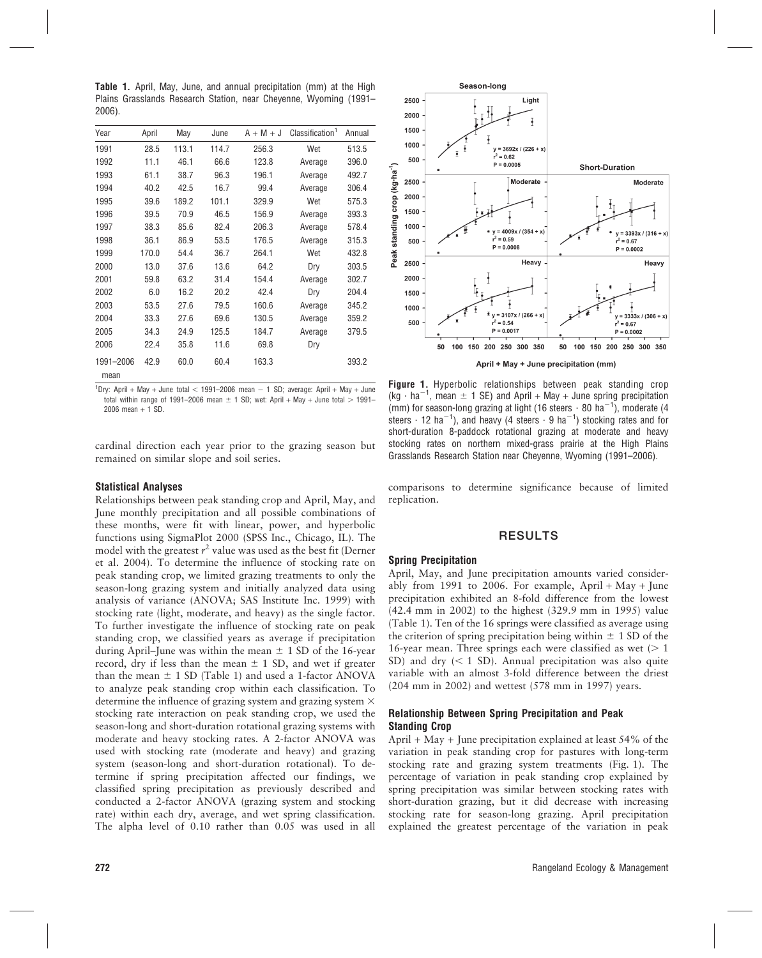Table 1. April, May, June, and annual precipitation (mm) at the High Plains Grasslands Research Station, near Cheyenne, Wyoming (1991– 2006).

| Year              | April | May   | June  | $A + M + J$ | Classification <sup>1</sup> | Annual |
|-------------------|-------|-------|-------|-------------|-----------------------------|--------|
| 1991              | 28.5  | 113.1 | 114.7 | 256.3       | Wet                         | 513.5  |
| 1992              | 11.1  | 46.1  | 66.6  | 123.8       | Average                     | 396.0  |
| 1993              | 61.1  | 38.7  | 96.3  | 196.1       | Average                     | 492.7  |
| 1994              | 40.2  | 42.5  | 16.7  | 99.4        | Average                     | 306.4  |
| 1995              | 39.6  | 189.2 | 101.1 | 329.9       | Wet                         | 575.3  |
| 1996              | 39.5  | 70.9  | 46.5  | 156.9       | Average                     | 393.3  |
| 1997              | 38.3  | 85.6  | 82.4  | 206.3       | Average                     | 578.4  |
| 1998              | 36.1  | 86.9  | 53.5  | 176.5       | Average                     | 315.3  |
| 1999              | 170.0 | 54.4  | 36.7  | 264.1       | Wet                         | 432.8  |
| 2000              | 13.0  | 37.6  | 13.6  | 64.2        | Dry                         | 303.5  |
| 2001              | 59.8  | 63.2  | 31.4  | 154.4       | Average                     | 302.7  |
| 2002              | 6.0   | 16.2  | 20.2  | 42.4        | Dry                         | 204.4  |
| 2003              | 53.5  | 27.6  | 79.5  | 160.6       | Average                     | 345.2  |
| 2004              | 33.3  | 27.6  | 69.6  | 130.5       | Average                     | 359.2  |
| 2005              | 34.3  | 24.9  | 125.5 | 184.7       | Average                     | 379.5  |
| 2006              | 22.4  | 35.8  | 11.6  | 69.8        | Dry                         |        |
| 1991-2006<br>mean | 42.9  | 60.0  | 60.4  | 163.3       |                             | 393.2  |

<sup>1</sup>Dry: April + May + June total < 1991–2006 mean  $-$  1 SD; average: April + May + June total within range of 1991–2006 mean  $\pm$  1 SD; wet: April + May + June total  $>$  1991– 2006 mean  $+ 1$  SD.

cardinal direction each year prior to the grazing season but remained on similar slope and soil series.

### Statistical Analyses

Relationships between peak standing crop and April, May, and June monthly precipitation and all possible combinations of these months, were fit with linear, power, and hyperbolic functions using SigmaPlot 2000 (SPSS Inc., Chicago, IL). The model with the greatest  $r^2$  value was used as the best fit (Derner et al. 2004). To determine the influence of stocking rate on peak standing crop, we limited grazing treatments to only the season-long grazing system and initially analyzed data using analysis of variance (ANOVA; SAS Institute Inc. 1999) with stocking rate (light, moderate, and heavy) as the single factor. To further investigate the influence of stocking rate on peak standing crop, we classified years as average if precipitation during April–June was within the mean  $\pm$  1 SD of the 16-year record, dry if less than the mean  $\pm$  1 SD, and wet if greater than the mean  $\pm$  1 SD (Table 1) and used a 1-factor ANOVA to analyze peak standing crop within each classification. To determine the influence of grazing system and grazing system  $\times$ stocking rate interaction on peak standing crop, we used the season-long and short-duration rotational grazing systems with moderate and heavy stocking rates. A 2-factor ANOVA was used with stocking rate (moderate and heavy) and grazing system (season-long and short-duration rotational). To determine if spring precipitation affected our findings, we classified spring precipitation as previously described and conducted a 2-factor ANOVA (grazing system and stocking rate) within each dry, average, and wet spring classification. The alpha level of 0.10 rather than 0.05 was used in all



April + May + June precipitation (mm)

Figure 1. Hyperbolic relationships between peak standing crop (kg  $\cdot$  ha<sup>-1</sup>, mean  $\pm$  1 SE) and April + May + June spring precipitation (mm) for season-long grazing at light (16 steers  $\cdot$  80 ha<sup>-1</sup>), moderate (4 steers  $\cdot$  12 ha<sup>-1</sup>), and heavy (4 steers  $\cdot$  9 ha<sup>-1</sup>) stocking rates and for short-duration 8-paddock rotational grazing at moderate and heavy stocking rates on northern mixed-grass prairie at the High Plains Grasslands Research Station near Cheyenne, Wyoming (1991–2006).

comparisons to determine significance because of limited replication.

#### RESULTS

#### Spring Precipitation

April, May, and June precipitation amounts varied considerably from 1991 to 2006. For example, April + May + June precipitation exhibited an 8-fold difference from the lowest (42.4 mm in 2002) to the highest (329.9 mm in 1995) value (Table 1). Ten of the 16 springs were classified as average using the criterion of spring precipitation being within  $\pm$  1 SD of the 16-year mean. Three springs each were classified as wet  $(> 1)$ SD) and dry  $(< 1$  SD). Annual precipitation was also quite variable with an almost 3-fold difference between the driest (204 mm in 2002) and wettest (578 mm in 1997) years.

#### Relationship Between Spring Precipitation and Peak Standing Crop

April + May + June precipitation explained at least 54% of the variation in peak standing crop for pastures with long-term stocking rate and grazing system treatments (Fig. 1). The percentage of variation in peak standing crop explained by spring precipitation was similar between stocking rates with short-duration grazing, but it did decrease with increasing stocking rate for season-long grazing. April precipitation explained the greatest percentage of the variation in peak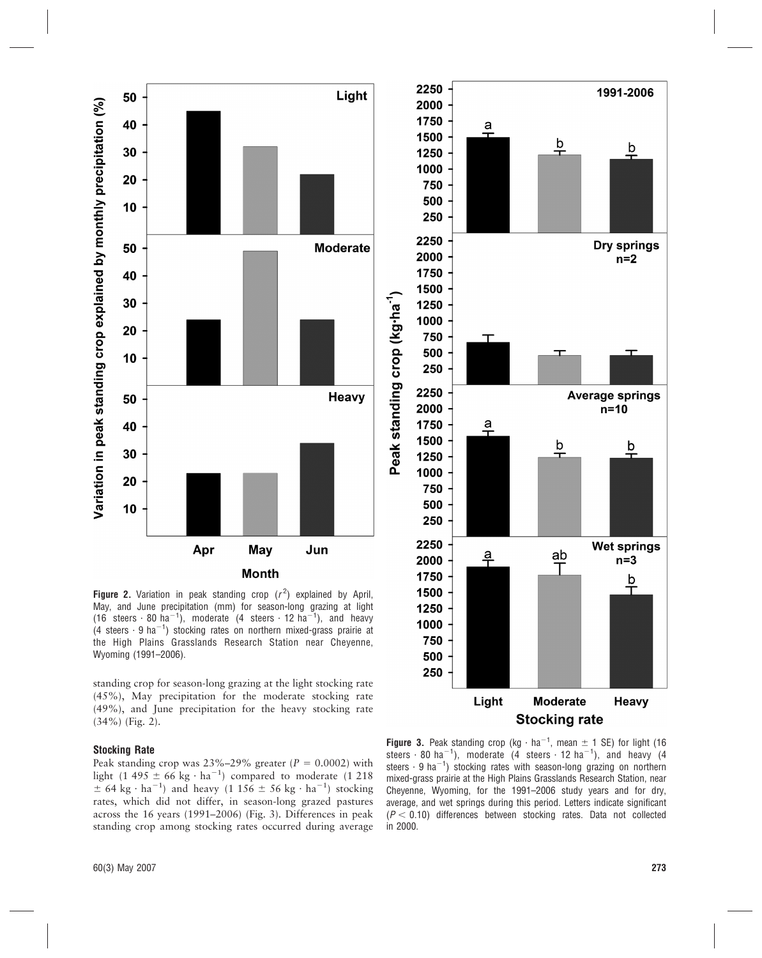

Figure 2. Variation in peak standing crop  $(r^2)$  explained by April, May, and June precipitation (mm) for season-long grazing at light (16 steers  $\cdot$  80 ha<sup>-1</sup>), moderate (4 steers  $\cdot$  12 ha<sup>-1</sup>), and heavy (4 steers  $\cdot$  9 ha<sup>-1</sup>) stocking rates on northern mixed-grass prairie at the High Plains Grasslands Research Station near Cheyenne, Wyoming (1991–2006).

standing crop for season-long grazing at the light stocking rate (45%), May precipitation for the moderate stocking rate (49%), and June precipitation for the heavy stocking rate (34%) (Fig. 2).

#### Stocking Rate

Peak standing crop was  $23\% - 29\%$  greater ( $P = 0.0002$ ) with light (1 495  $\pm$  66 kg  $\cdot$  ha<sup>-1</sup>) compared to moderate (1 218  $\pm$  64 kg  $\cdot$  ha<sup>-1</sup>) and heavy (1 156  $\pm$  56 kg  $\cdot$  ha<sup>-1</sup>) stocking rates, which did not differ, in season-long grazed pastures across the 16 years (1991–2006) (Fig. 3). Differences in peak standing crop among stocking rates occurred during average



Figure 3. Peak standing crop (kg  $\cdot$  ha<sup>-1</sup>, mean  $\pm$  1 SE) for light (16 steers  $\cdot$  80 ha<sup>-1</sup>), moderate (4 steers  $\cdot$  12 ha<sup>-1</sup>), and heavy (4 steers  $\cdot$  9 ha<sup>-1</sup>) stocking rates with season-long grazing on northern mixed-grass prairie at the High Plains Grasslands Research Station, near Cheyenne, Wyoming, for the 1991–2006 study years and for dry, average, and wet springs during this period. Letters indicate significant  $(P < 0.10)$  differences between stocking rates. Data not collected in 2000.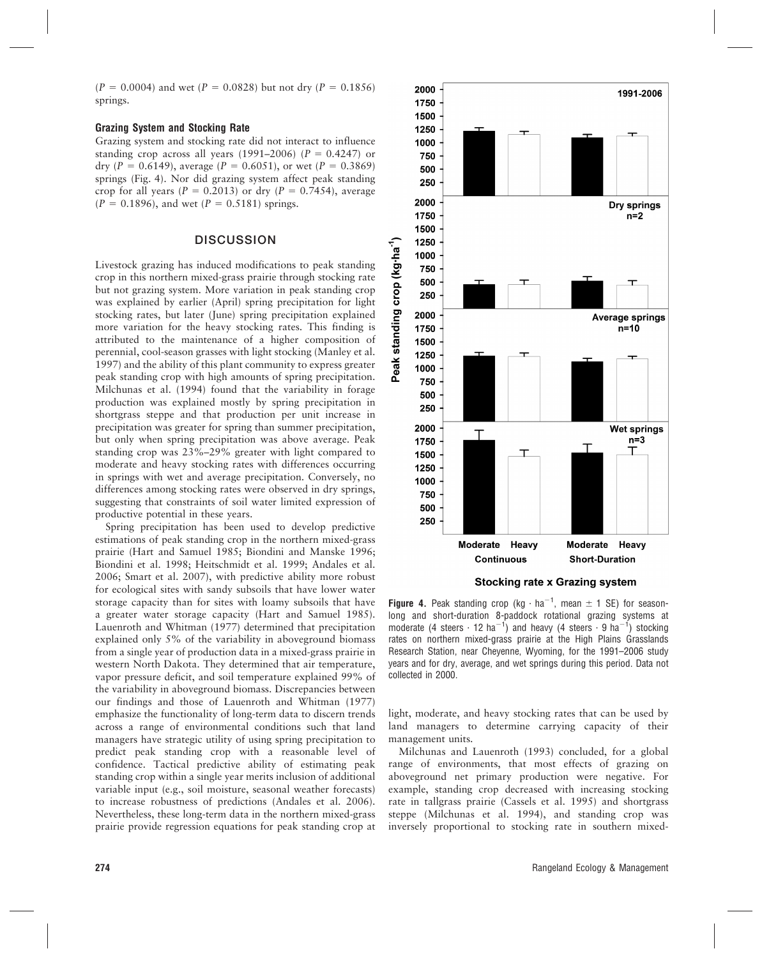$(P = 0.0004)$  and wet  $(P = 0.0828)$  but not dry  $(P = 0.1856)$ springs.

#### Grazing System and Stocking Rate

Grazing system and stocking rate did not interact to influence standing crop across all years (1991–2006) ( $P = 0.4247$ ) or dry (P = 0.6149), average (P = 0.6051), or wet (P = 0.3869) springs (Fig. 4). Nor did grazing system affect peak standing crop for all years ( $P = 0.2013$ ) or dry ( $P = 0.7454$ ), average  $(P = 0.1896)$ , and wet  $(P = 0.5181)$  springs.

### **DISCUSSION**

Livestock grazing has induced modifications to peak standing crop in this northern mixed-grass prairie through stocking rate but not grazing system. More variation in peak standing crop was explained by earlier (April) spring precipitation for light stocking rates, but later (June) spring precipitation explained more variation for the heavy stocking rates. This finding is attributed to the maintenance of a higher composition of perennial, cool-season grasses with light stocking (Manley et al. 1997) and the ability of this plant community to express greater peak standing crop with high amounts of spring precipitation. Milchunas et al. (1994) found that the variability in forage production was explained mostly by spring precipitation in shortgrass steppe and that production per unit increase in precipitation was greater for spring than summer precipitation, but only when spring precipitation was above average. Peak standing crop was 23%–29% greater with light compared to moderate and heavy stocking rates with differences occurring in springs with wet and average precipitation. Conversely, no differences among stocking rates were observed in dry springs, suggesting that constraints of soil water limited expression of productive potential in these years.

Spring precipitation has been used to develop predictive estimations of peak standing crop in the northern mixed-grass prairie (Hart and Samuel 1985; Biondini and Manske 1996; Biondini et al. 1998; Heitschmidt et al. 1999; Andales et al. 2006; Smart et al. 2007), with predictive ability more robust for ecological sites with sandy subsoils that have lower water storage capacity than for sites with loamy subsoils that have a greater water storage capacity (Hart and Samuel 1985). Lauenroth and Whitman (1977) determined that precipitation explained only 5% of the variability in aboveground biomass from a single year of production data in a mixed-grass prairie in western North Dakota. They determined that air temperature, vapor pressure deficit, and soil temperature explained 99% of the variability in aboveground biomass. Discrepancies between our findings and those of Lauenroth and Whitman (1977) emphasize the functionality of long-term data to discern trends across a range of environmental conditions such that land managers have strategic utility of using spring precipitation to predict peak standing crop with a reasonable level of confidence. Tactical predictive ability of estimating peak standing crop within a single year merits inclusion of additional variable input (e.g., soil moisture, seasonal weather forecasts) to increase robustness of predictions (Andales et al. 2006). Nevertheless, these long-term data in the northern mixed-grass prairie provide regression equations for peak standing crop at



**Stocking rate x Grazing system** 

**Figure 4.** Peak standing crop (kg  $\cdot$  ha<sup>-1</sup>, mean  $\pm$  1 SE) for seasonlong and short-duration 8-paddock rotational grazing systems at moderate (4 steers  $\cdot$  12 ha<sup>-1</sup>) and heavy (4 steers  $\cdot$  9 ha<sup>-1</sup>) stocking rates on northern mixed-grass prairie at the High Plains Grasslands Research Station, near Cheyenne, Wyoming, for the 1991–2006 study years and for dry, average, and wet springs during this period. Data not collected in 2000.

light, moderate, and heavy stocking rates that can be used by land managers to determine carrying capacity of their management units.

Milchunas and Lauenroth (1993) concluded, for a global range of environments, that most effects of grazing on aboveground net primary production were negative. For example, standing crop decreased with increasing stocking rate in tallgrass prairie (Cassels et al. 1995) and shortgrass steppe (Milchunas et al. 1994), and standing crop was inversely proportional to stocking rate in southern mixed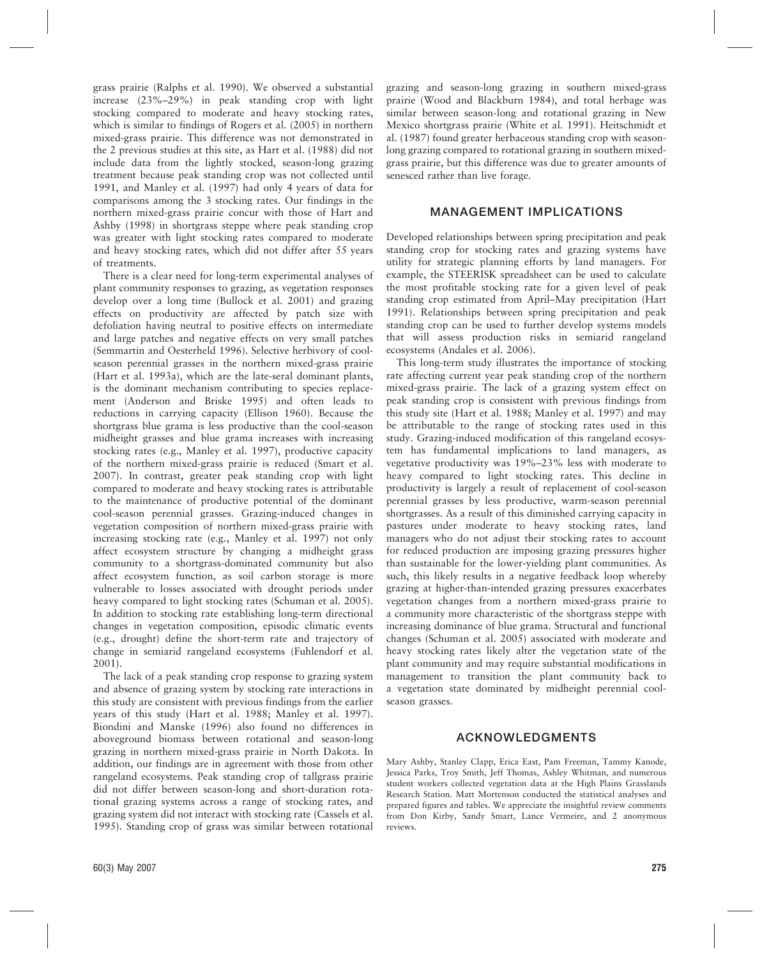grass prairie (Ralphs et al. 1990). We observed a substantial increase (23%–29%) in peak standing crop with light stocking compared to moderate and heavy stocking rates, which is similar to findings of Rogers et al. (2005) in northern mixed-grass prairie. This difference was not demonstrated in the 2 previous studies at this site, as Hart et al. (1988) did not include data from the lightly stocked, season-long grazing treatment because peak standing crop was not collected until 1991, and Manley et al. (1997) had only 4 years of data for comparisons among the 3 stocking rates. Our findings in the northern mixed-grass prairie concur with those of Hart and Ashby (1998) in shortgrass steppe where peak standing crop was greater with light stocking rates compared to moderate and heavy stocking rates, which did not differ after 55 years of treatments.

There is a clear need for long-term experimental analyses of plant community responses to grazing, as vegetation responses develop over a long time (Bullock et al. 2001) and grazing effects on productivity are affected by patch size with defoliation having neutral to positive effects on intermediate and large patches and negative effects on very small patches (Semmartin and Oesterheld 1996). Selective herbivory of coolseason perennial grasses in the northern mixed-grass prairie (Hart et al. 1993a), which are the late-seral dominant plants, is the dominant mechanism contributing to species replacement (Anderson and Briske 1995) and often leads to reductions in carrying capacity (Ellison 1960). Because the shortgrass blue grama is less productive than the cool-season midheight grasses and blue grama increases with increasing stocking rates (e.g., Manley et al. 1997), productive capacity of the northern mixed-grass prairie is reduced (Smart et al. 2007). In contrast, greater peak standing crop with light compared to moderate and heavy stocking rates is attributable to the maintenance of productive potential of the dominant cool-season perennial grasses. Grazing-induced changes in vegetation composition of northern mixed-grass prairie with increasing stocking rate (e.g., Manley et al. 1997) not only affect ecosystem structure by changing a midheight grass community to a shortgrass-dominated community but also affect ecosystem function, as soil carbon storage is more vulnerable to losses associated with drought periods under heavy compared to light stocking rates (Schuman et al. 2005). In addition to stocking rate establishing long-term directional changes in vegetation composition, episodic climatic events (e.g., drought) define the short-term rate and trajectory of change in semiarid rangeland ecosystems (Fuhlendorf et al. 2001).

The lack of a peak standing crop response to grazing system and absence of grazing system by stocking rate interactions in this study are consistent with previous findings from the earlier years of this study (Hart et al. 1988; Manley et al. 1997). Biondini and Manske (1996) also found no differences in aboveground biomass between rotational and season-long grazing in northern mixed-grass prairie in North Dakota. In addition, our findings are in agreement with those from other rangeland ecosystems. Peak standing crop of tallgrass prairie did not differ between season-long and short-duration rotational grazing systems across a range of stocking rates, and grazing system did not interact with stocking rate (Cassels et al. 1995). Standing crop of grass was similar between rotational grazing and season-long grazing in southern mixed-grass prairie (Wood and Blackburn 1984), and total herbage was similar between season-long and rotational grazing in New Mexico shortgrass prairie (White et al. 1991). Heitschmidt et al. (1987) found greater herbaceous standing crop with seasonlong grazing compared to rotational grazing in southern mixedgrass prairie, but this difference was due to greater amounts of senesced rather than live forage.

### MANAGEMENT IMPLICATIONS

Developed relationships between spring precipitation and peak standing crop for stocking rates and grazing systems have utility for strategic planning efforts by land managers. For example, the STEERISK spreadsheet can be used to calculate the most profitable stocking rate for a given level of peak standing crop estimated from April–May precipitation (Hart 1991). Relationships between spring precipitation and peak standing crop can be used to further develop systems models that will assess production risks in semiarid rangeland ecosystems (Andales et al. 2006).

This long-term study illustrates the importance of stocking rate affecting current year peak standing crop of the northern mixed-grass prairie. The lack of a grazing system effect on peak standing crop is consistent with previous findings from this study site (Hart et al. 1988; Manley et al. 1997) and may be attributable to the range of stocking rates used in this study. Grazing-induced modification of this rangeland ecosystem has fundamental implications to land managers, as vegetative productivity was 19%–23% less with moderate to heavy compared to light stocking rates. This decline in productivity is largely a result of replacement of cool-season perennial grasses by less productive, warm-season perennial shortgrasses. As a result of this diminished carrying capacity in pastures under moderate to heavy stocking rates, land managers who do not adjust their stocking rates to account for reduced production are imposing grazing pressures higher than sustainable for the lower-yielding plant communities. As such, this likely results in a negative feedback loop whereby grazing at higher-than-intended grazing pressures exacerbates vegetation changes from a northern mixed-grass prairie to a community more characteristic of the shortgrass steppe with increasing dominance of blue grama. Structural and functional changes (Schuman et al. 2005) associated with moderate and heavy stocking rates likely alter the vegetation state of the plant community and may require substantial modifications in management to transition the plant community back to a vegetation state dominated by midheight perennial coolseason grasses.

# ACKNOWLEDGMENTS

Mary Ashby, Stanley Clapp, Erica East, Pam Freeman, Tammy Kanode, Jessica Parks, Troy Smith, Jeff Thomas, Ashley Whitman, and numerous student workers collected vegetation data at the High Plains Grasslands Research Station. Matt Mortenson conducted the statistical analyses and prepared figures and tables. We appreciate the insightful review comments from Don Kirby, Sandy Smart, Lance Vermeire, and 2 anonymous reviews.